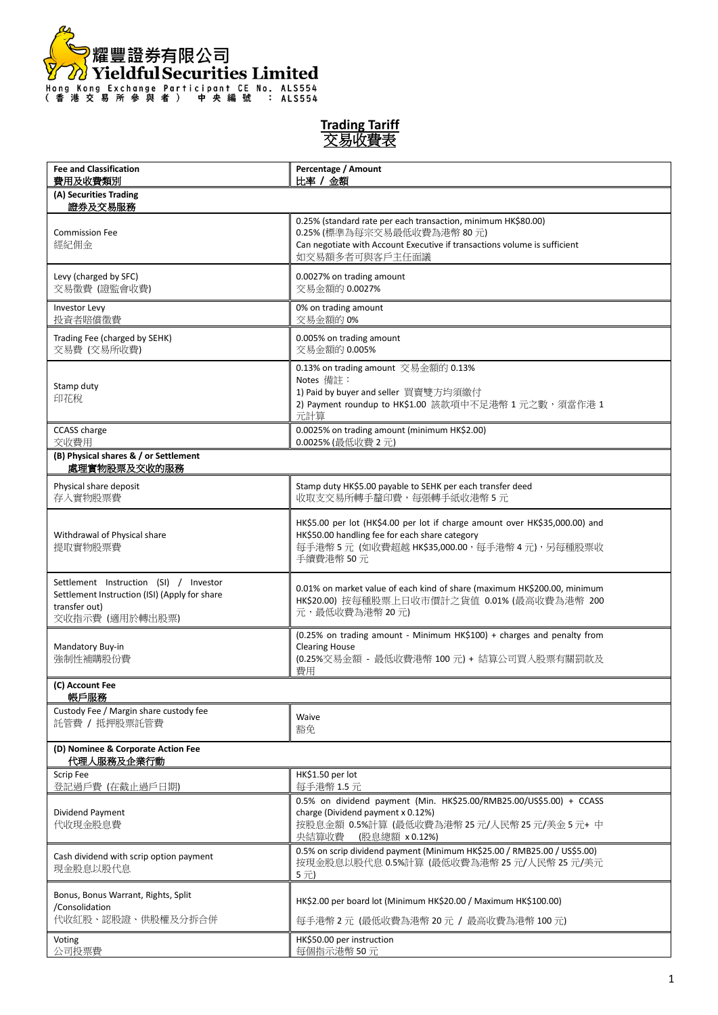

| <b>Trading Tariff</b> |  |
|-----------------------|--|
| 易收費                   |  |

| <b>Fee and Classification</b><br>費用及收費類別                                                                                    | Percentage / Amount<br>比率 / 金額                                                                                                                                                             |  |
|-----------------------------------------------------------------------------------------------------------------------------|--------------------------------------------------------------------------------------------------------------------------------------------------------------------------------------------|--|
| (A) Securities Trading<br>證券及交易服務                                                                                           |                                                                                                                                                                                            |  |
| <b>Commission Fee</b><br>經紀佣金                                                                                               | 0.25% (standard rate per each transaction, minimum HK\$80.00)<br>0.25% (標準為每宗交易最低收費為港幣 80元)<br>Can negotiate with Account Executive if transactions volume is sufficient<br>如交易額多者可與客戶主任面議 |  |
| Levy (charged by SFC)<br>交易徵費 (證監會收費)                                                                                       | 0.0027% on trading amount<br>交易金額的 0.0027%                                                                                                                                                 |  |
| Investor Levy<br>投資者賠償徵費                                                                                                    | 0% on trading amount<br>交易金額的 0%                                                                                                                                                           |  |
| Trading Fee (charged by SEHK)<br>交易費 (交易所收費)                                                                                | 0.005% on trading amount<br>交易金額的 0.005%                                                                                                                                                   |  |
| Stamp duty<br>印花稅                                                                                                           | 0.13% on trading amount 交易金額的 0.13%<br>Notes 備註:<br>1) Paid by buyer and seller 買賣雙方均須繳付<br>2) Payment roundup to HK\$1.00 該款項中不足港幣 1 元之數,須當作港 1<br>元計算                                    |  |
| CCASS charge<br>交收費用                                                                                                        | 0.0025% on trading amount (minimum HK\$2.00)<br>0.0025% (最低收費 2元)                                                                                                                          |  |
| (B) Physical shares & / or Settlement<br>處理實物股票及交收的服務                                                                       |                                                                                                                                                                                            |  |
| Physical share deposit<br>存入實物股票費                                                                                           | Stamp duty HK\$5.00 payable to SEHK per each transfer deed<br>收取支交易所轉手釐印費,每張轉手紙收港幣5元                                                                                                       |  |
| Withdrawal of Physical share<br>提取實物股票費                                                                                     | HK\$5.00 per lot (HK\$4.00 per lot if charge amount over HK\$35,000.00) and<br>HK\$50.00 handling fee for each share category<br>每手港幣5元 (如收費超越 HK\$35,000.00, 每手港幣4元), 另每種股票收<br>手續費港幣 50元 |  |
| Settlement Instruction (SI) / Investor<br>Settlement Instruction (ISI) (Apply for share<br>transfer out)<br>交收指示費 (適用於轉出股票) | 0.01% on market value of each kind of share (maximum HK\$200.00, minimum<br>HK\$20.00) 按每種股票上日收市價計之貨值 0.01% (最高收費為港幣 200<br>元,最低收費為港幣20元)                                                  |  |
| Mandatory Buy-in<br>強制性補購股份費                                                                                                | (0.25% on trading amount - Minimum HK\$100) + charges and penalty from<br><b>Clearing House</b><br>(0.25%交易金額 - 最低收費港幣 100 元) + 結算公司買入股票有關罰款及<br>費用                                        |  |
| (C) Account Fee<br>帳戶服務                                                                                                     |                                                                                                                                                                                            |  |
| Custody Fee / Margin share custody fee<br>託管費 / 抵押股票託管費                                                                     | Waive<br>豁免                                                                                                                                                                                |  |
| (D) Nominee & Corporate Action Fee<br>代理人服務及企業行動                                                                            |                                                                                                                                                                                            |  |
| Scrip Fee<br>登記過戶費 (在截止過戶日期)                                                                                                | HK\$1.50 per lot<br>每手港幣 1.5 元                                                                                                                                                             |  |
| Dividend Payment<br>代收現金股息費                                                                                                 | 0.5% on dividend payment (Min. HK\$25.00/RMB25.00/US\$5.00) + CCASS<br>charge (Dividend payment x 0.12%)<br>按股息金額 0.5%計算 (最低收費為港幣 25元/人民幣 25元/美金 5元+中<br>央結算收費<br>(股息總額 x 0.12%)           |  |
| Cash dividend with scrip option payment<br>現金股息以股代息                                                                         | 0.5% on scrip dividend payment (Minimum HK\$25.00 / RMB25.00 / US\$5.00)<br>按現金股息以股代息 0.5%計算 (最低收費為港幣 25 元/人民幣 25 元/美元<br>5元)                                                              |  |
| Bonus, Bonus Warrant, Rights, Split<br>/Consolidation<br>代收紅股、認股證、供股權及分拆合併                                                  | HK\$2.00 per board lot (Minimum HK\$20.00 / Maximum HK\$100.00)<br>每手港幣2元 (最低收費為港幣20元 / 最高收費為港幣100元)                                                                                       |  |
| Voting<br>公司投票費                                                                                                             | HK\$50.00 per instruction<br>每個指示港幣50元                                                                                                                                                     |  |